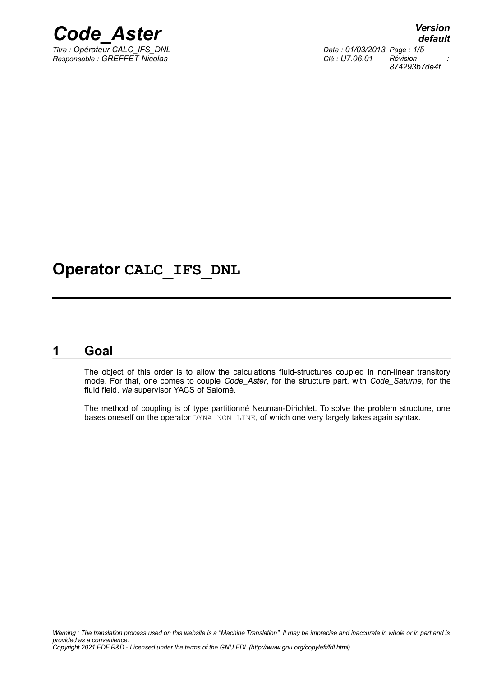

 $\overline{T}$ itre : Opérateur CALC\_IFS\_DNL *Responsable : GREFFET Nicolas Clé : U7.06.01 Révision :*

*874293b7de4f*

### **Operator CALC\_IFS\_DNL**

### **1 Goal**

<span id="page-0-0"></span>The object of this order is to allow the calculations fluid-structures coupled in non-linear transitory mode. For that, one comes to couple *Code\_Aster*, for the structure part, with *Code\_Saturne*, for the fluid field, *via* supervisor YACS of Salomé.

The method of coupling is of type partitionné Neuman-Dirichlet. To solve the problem structure, one bases oneself on the operator DYNA\_NON\_LINE, of which one very largely takes again syntax.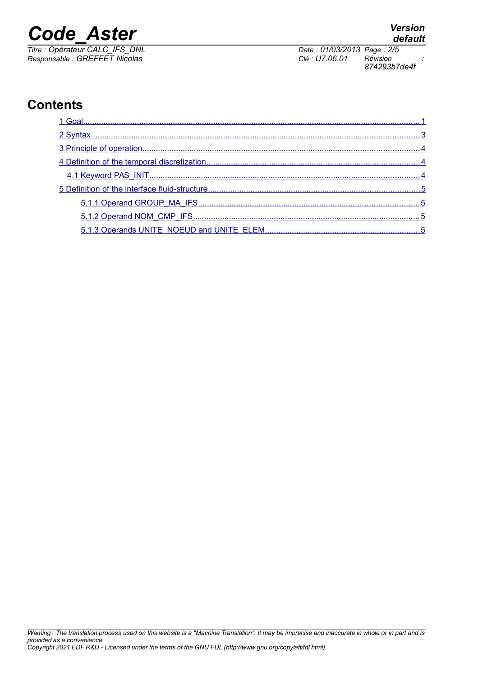*Titre : Opérateur CALC\_IFS\_DNL Date : 01/03/2013 Page : 2/5*

*Responsable : GREFFET Nicolas Clé : U7.06.01 Révision : 874293b7de4f*

### **Contents**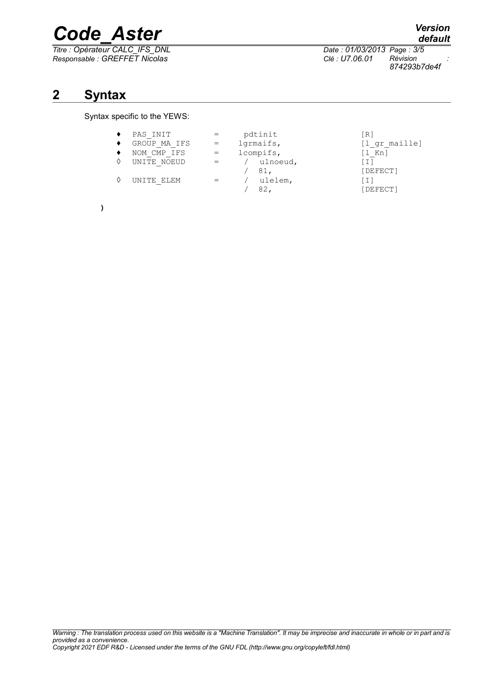*Titre : Opérateur CALC\_IFS\_DNL Date : 01/03/2013 Page : 3/5 Responsable : GREFFET Nicolas Clé : U7.06.01 Révision :*

*Warning : The translation process used on this website is a "Machine Translation". It may be imprecise and inaccurate in whole or in part and is provided as a convenience. Copyright 2021 EDF R&D - Licensed under the terms of the GNU FDL (http://www.gnu.org/copyleft/fdl.html)*

## **2 Syntax**

#### <span id="page-2-0"></span>Syntax specific to the YEWS:

| PAS INIT<br>GROUP MA IFS<br>NOM CMP IFS<br>UNITE NOEUD<br>UNITE ELEM | pdtinit<br>lgrmaifs,<br>lcompifs,<br>/ ulnoeud,<br>81,<br>ulelem, | [R]<br>[l gr maille]<br>$[1$ Kn]<br>[DEFECT]<br>ובו |
|----------------------------------------------------------------------|-------------------------------------------------------------------|-----------------------------------------------------|
|                                                                      | 82.                                                               | [DEFECT]                                            |

**)**

*default*

*874293b7de4f*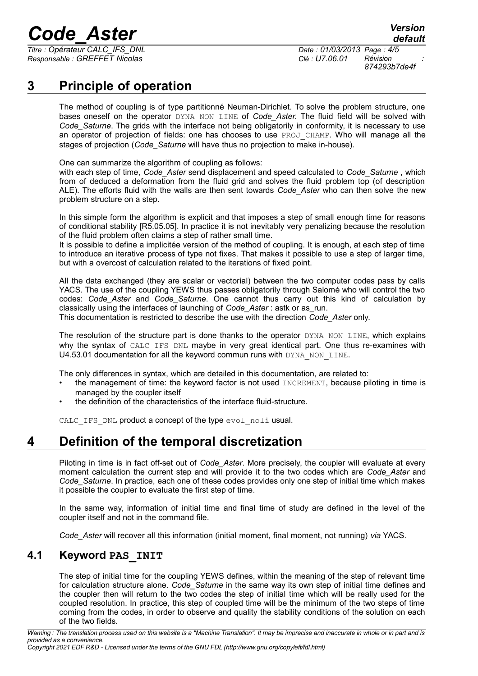*Titre : Opérateur CALC\_IFS\_DNL Date : 01/03/2013 Page : 4/5 Responsable : GREFFET Nicolas Clé : U7.06.01 Révision :*

*874293b7de4f*

### **3 Principle of operation**

<span id="page-3-2"></span>The method of coupling is of type partitionné Neuman-Dirichlet. To solve the problem structure, one bases oneself on the operator DYNA\_NON\_LINE of *Code\_Aster.* The fluid field will be solved with *Code* Saturne. The grids with the interface not being obligatorily in conformity, it is necessary to use an operator of projection of fields: one has chooses to use PROJ CHAMP. Who will manage all the stages of projection (*Code\_Saturne* will have thus no projection to make in-house).

One can summarize the algorithm of coupling as follows:

with each step of time, *Code\_Aster* send displacement and speed calculated to *Code\_Saturne* , which from of deduced a deformation from the fluid grid and solves the fluid problem top (of description ALE). The efforts fluid with the walls are then sent towards *Code\_Aster* who can then solve the new problem structure on a step.

In this simple form the algorithm is explicit and that imposes a step of small enough time for reasons of conditional stability [R5.05.05]. In practice it is not inevitably very penalizing because the resolution of the fluid problem often claims a step of rather small time.

It is possible to define a implicitée version of the method of coupling. It is enough, at each step of time to introduce an iterative process of type not fixes. That makes it possible to use a step of larger time, but with a overcost of calculation related to the iterations of fixed point.

All the data exchanged (they are scalar or vectorial) between the two computer codes pass by calls YACS. The use of the coupling YEWS thus passes obligatorily through Salomé who will control the two codes: *Code\_Aster* and *Code\_Saturne*. One cannot thus carry out this kind of calculation by classically using the interfaces of launching of *Code\_Aster* : astk or as\_run.

This documentation is restricted to describe the use with the direction *Code\_Aster* only.

The resolution of the structure part is done thanks to the operator  $DYNA$ , NON, LINE, which explains why the syntax of CALC IFS DNL maybe in very great identical part. One thus re-examines with U4.53.01 documentation for all the keyword commun runs with DYNA\_NON\_LINE.

The only differences in syntax, which are detailed in this documentation, are related to:

- the management of time: the keyword factor is not used INCREMENT, because piloting in time is managed by the coupler itself
- the definition of the characteristics of the interface fluid-structure.

<span id="page-3-1"></span>CALC IFS DNL product a concept of the type evol noli usual.

### **4 Definition of the temporal discretization**

Piloting in time is in fact off-set out of *Code\_Aster*. More precisely, the coupler will evaluate at every moment calculation the current step and will provide it to the two codes which are *Code\_Aster* and *Code\_Saturne*. In practice, each one of these codes provides only one step of initial time which makes it possible the coupler to evaluate the first step of time.

In the same way, information of initial time and final time of study are defined in the level of the coupler itself and not in the command file.

<span id="page-3-0"></span>*Code\_Aster* will recover all this information (initial moment, final moment, not running) *via* YACS.

#### **4.1 Keyword PAS\_INIT**

The step of initial time for the coupling YEWS defines, within the meaning of the step of relevant time for calculation structure alone. *Code\_Saturne* in the same way its own step of initial time defines and the coupler then will return to the two codes the step of initial time which will be really used for the coupled resolution. In practice, this step of coupled time will be the minimum of the two steps of time coming from the codes, in order to observe and quality the stability conditions of the solution on each of the two fields.